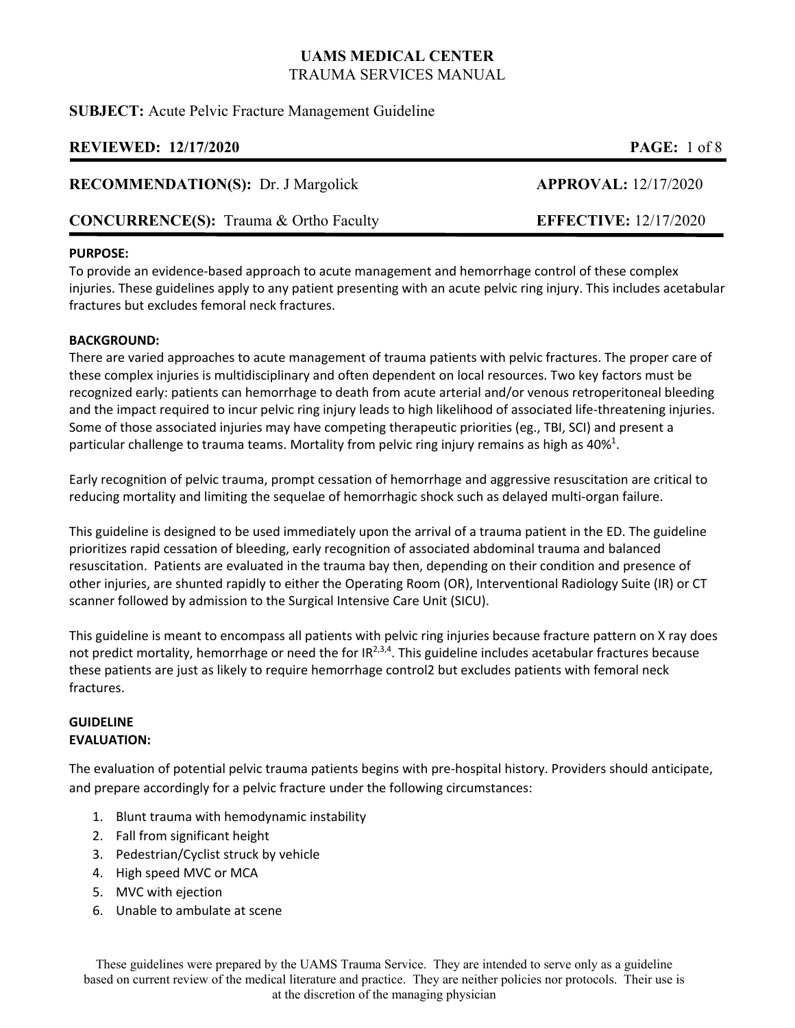**SUBJECT:** Acute Pelvic Fracture Management Guideline

# **REVIEWED: 12/17/2020 PAGE:** 1 of 8

## **RECOMMENDATION(S):** Dr. J Margolick **APPROVAL:** 12/17/2020

# **CONCURRENCE(S):** Trauma & Ortho Faculty **EFFECTIVE:** 12/17/2020

## **PURPOSE:**

To provide an evidence‐based approach to acute management and hemorrhage control of these complex injuries. These guidelines apply to any patient presenting with an acute pelvic ring injury. This includes acetabular fractures but excludes femoral neck fractures.

### **BACKGROUND:**

There are varied approaches to acute management of trauma patients with pelvic fractures. The proper care of these complex injuries is multidisciplinary and often dependent on local resources. Two key factors must be recognized early: patients can hemorrhage to death from acute arterial and/or venous retroperitoneal bleeding and the impact required to incur pelvic ring injury leads to high likelihood of associated life-threatening injuries. Some of those associated injuries may have competing therapeutic priorities (eg., TBI, SCI) and present a particular challenge to trauma teams. Mortality from pelvic ring injury remains as high as 40%<sup>1</sup>.

Early recognition of pelvic trauma, prompt cessation of hemorrhage and aggressive resuscitation are critical to reducing mortality and limiting the sequelae of hemorrhagic shock such as delayed multi-organ failure.

This guideline is designed to be used immediately upon the arrival of a trauma patient in the ED. The guideline prioritizes rapid cessation of bleeding, early recognition of associated abdominal trauma and balanced resuscitation. Patients are evaluated in the trauma bay then, depending on their condition and presence of other injuries, are shunted rapidly to either the Operating Room (OR), Interventional Radiology Suite (IR) or CT scanner followed by admission to the Surgical Intensive Care Unit (SICU).

This guideline is meant to encompass all patients with pelvic ring injuries because fracture pattern on X ray does not predict mortality, hemorrhage or need the for  $IR^{2,3,4}$ . This guideline includes acetabular fractures because these patients are just as likely to require hemorrhage control2 but excludes patients with femoral neck fractures.

### **GUIDELINE EVALUATION:**

The evaluation of potential pelvic trauma patients begins with pre‐hospital history. Providers should anticipate, and prepare accordingly for a pelvic fracture under the following circumstances:

- 1. Blunt trauma with hemodynamic instability
- 2. Fall from significant height
- 3. Pedestrian/Cyclist struck by vehicle
- 4. High speed MVC or MCA
- 5. MVC with ejection
- 6. Unable to ambulate at scene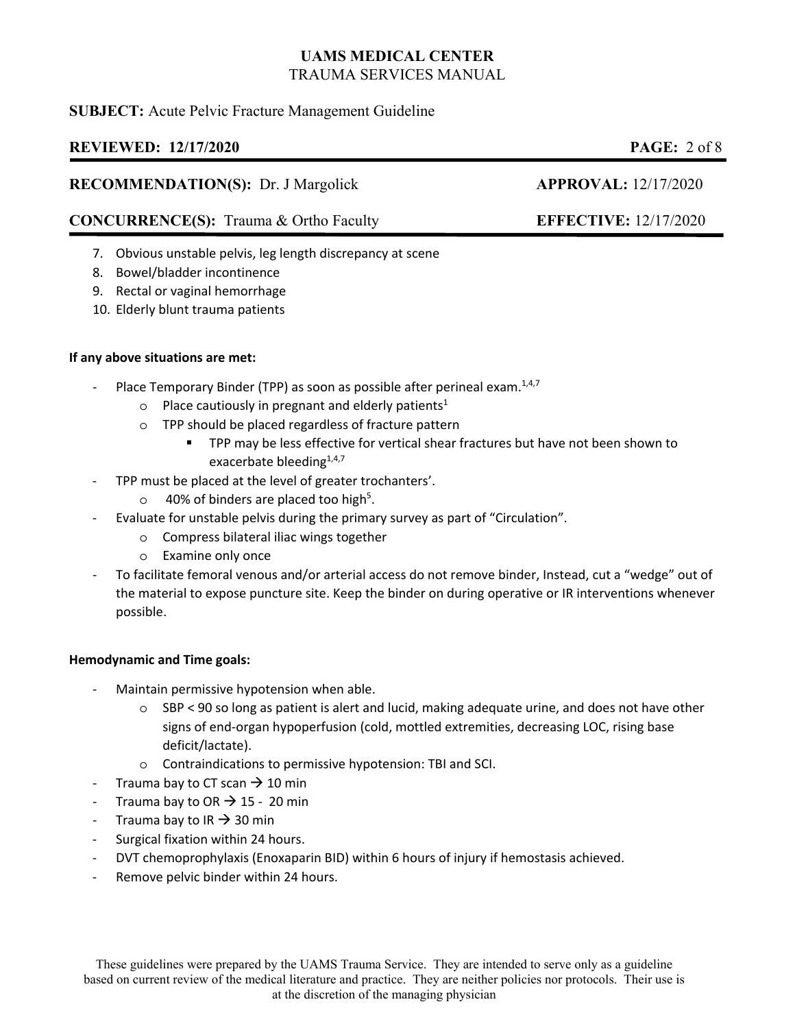# **SUBJECT:** Acute Pelvic Fracture Management Guideline

# **REVIEWED: 12/17/2020 PAGE:** 2 of 8

## **RECOMMENDATION(S):** Dr. J Margolick **APPROVAL:** 12/17/2020

# **CONCURRENCE(S):** Trauma & Ortho Faculty **EFFECTIVE:** 12/17/2020

- 7. Obvious unstable pelvis, leg length discrepancy at scene
- 8. Bowel/bladder incontinence
- 9. Rectal or vaginal hemorrhage
- 10. Elderly blunt trauma patients

## **If any above situations are met:**

- Place Temporary Binder (TPP) as soon as possible after perineal exam.<sup>1,4,7</sup>
	- o Place cautiously in pregnant and elderly patients<sup>1</sup>
	- o TPP should be placed regardless of fracture pattern
		- TPP may be less effective for vertical shear fractures but have not been shown to exacerbate bleeding<sup>1,4,7</sup>
- ‐ TPP must be placed at the level of greater trochanters'.
	- $\circ$  40% of binders are placed too high<sup>5</sup>.
- ‐ Evaluate for unstable pelvis during the primary survey as part of "Circulation".
	- o Compress bilateral iliac wings together
	- o Examine only once
- ‐ To facilitate femoral venous and/or arterial access do not remove binder, Instead, cut a "wedge" out of the material to expose puncture site. Keep the binder on during operative or IR interventions whenever possible.

## **Hemodynamic and Time goals:**

- ‐ Maintain permissive hypotension when able.
	- $\circ$  SBP < 90 so long as patient is alert and lucid, making adequate urine, and does not have other signs of end‐organ hypoperfusion (cold, mottled extremities, decreasing LOC, rising base deficit/lactate).
	- o Contraindications to permissive hypotension: TBI and SCI.
- Trauma bay to CT scan  $\rightarrow$  10 min
- Trauma bay to OR  $\rightarrow$  15 20 min
- Trauma bay to IR  $\rightarrow$  30 min
- ‐ Surgical fixation within 24 hours.
- ‐ DVT chemoprophylaxis (Enoxaparin BID) within 6 hours of injury if hemostasis achieved.
- Remove pelvic binder within 24 hours.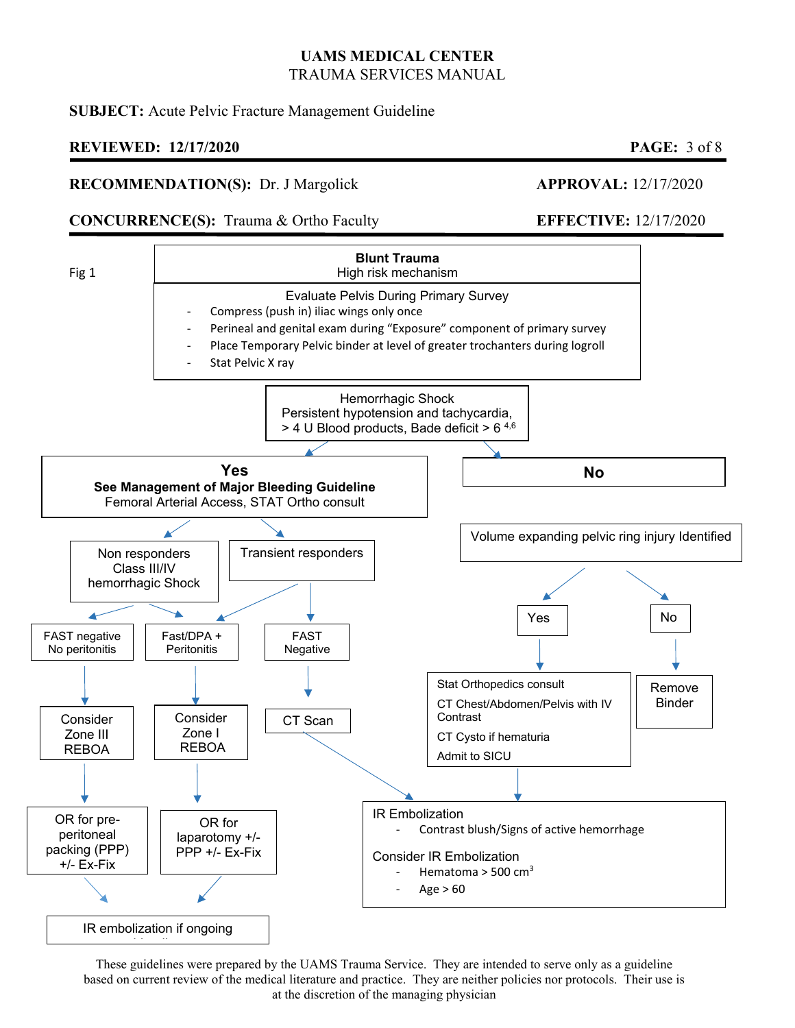## **SUBJECT:** Acute Pelvic Fracture Management Guideline

## **REVIEWED: 12/17/2020 PAGE:** 3 of 8

### **RECOMMENDATION(S):** Dr. J Margolick **APPROVAL:** 12/17/2020

## **CONCURRENCE(S):** Trauma & Ortho Faculty **EFFECTIVE:** 12/17/2020

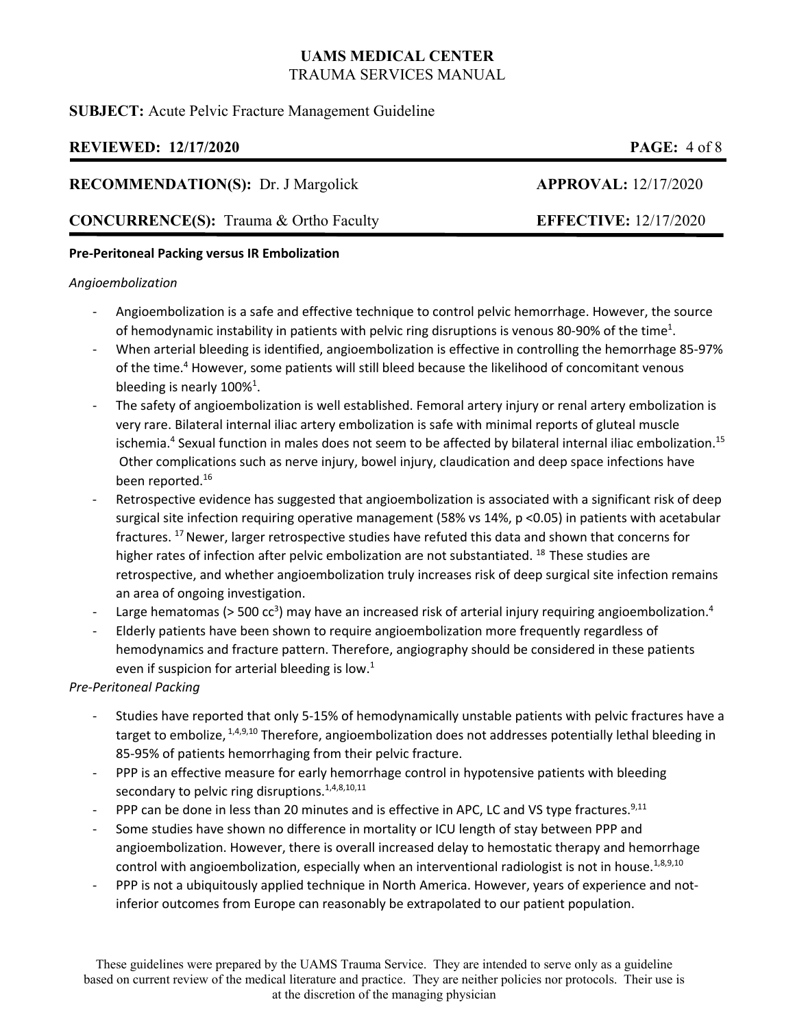## **SUBJECT:** Acute Pelvic Fracture Management Guideline

# **REVIEWED: 12/17/2020 PAGE:** 4 of 8

## **RECOMMENDATION(S):** Dr. J Margolick **APPROVAL:** 12/17/2020

# **CONCURRENCE(S):** Trauma & Ortho Faculty **EFFECTIVE:** 12/17/2020

## **Pre‐Peritoneal Packing versus IR Embolization**

### *Angioembolization*

- ‐ Angioembolization is a safe and effective technique to control pelvic hemorrhage. However, the source of hemodynamic instability in patients with pelvic ring disruptions is venous 80-90% of the time<sup>1</sup>.
- ‐ When arterial bleeding is identified, angioembolization is effective in controlling the hemorrhage 85‐97% of the time.<sup>4</sup> However, some patients will still bleed because the likelihood of concomitant venous bleeding is nearly  $100\%$ <sup>1</sup>.
- ‐ The safety of angioembolization is well established. Femoral artery injury or renal artery embolization is very rare. Bilateral internal iliac artery embolization is safe with minimal reports of gluteal muscle ischemia.<sup>4</sup> Sexual function in males does not seem to be affected by bilateral internal iliac embolization.<sup>15</sup> Other complications such as nerve injury, bowel injury, claudication and deep space infections have been reported.<sup>16</sup>
- Retrospective evidence has suggested that angioembolization is associated with a significant risk of deep surgical site infection requiring operative management (58% vs 14%, p <0.05) in patients with acetabular fractures. <sup>17</sup> Newer, larger retrospective studies have refuted this data and shown that concerns for higher rates of infection after pelvic embolization are not substantiated. <sup>18</sup> These studies are retrospective, and whether angioembolization truly increases risk of deep surgical site infection remains an area of ongoing investigation.
- Large hematomas (> 500 cc<sup>3</sup>) may have an increased risk of arterial injury requiring angioembolization.<sup>4</sup>
- ‐ Elderly patients have been shown to require angioembolization more frequently regardless of hemodynamics and fracture pattern. Therefore, angiography should be considered in these patients even if suspicion for arterial bleeding is low.<sup>1</sup>

### *Pre‐Peritoneal Packing*

- ‐ Studies have reported that only 5‐15% of hemodynamically unstable patients with pelvic fractures have a target to embolize, <sup>1,4,9,10</sup> Therefore, angioembolization does not addresses potentially lethal bleeding in 85‐95% of patients hemorrhaging from their pelvic fracture.
- ‐ PPP is an effective measure for early hemorrhage control in hypotensive patients with bleeding secondary to pelvic ring disruptions.<sup>1,4,8,10,11</sup>
- PPP can be done in less than 20 minutes and is effective in APC, LC and VS type fractures.<sup>9,11</sup>
- Some studies have shown no difference in mortality or ICU length of stay between PPP and angioembolization. However, there is overall increased delay to hemostatic therapy and hemorrhage control with angioembolization, especially when an interventional radiologist is not in house.<sup>1,8,9,10</sup>
- PPP is not a ubiquitously applied technique in North America. However, years of experience and notinferior outcomes from Europe can reasonably be extrapolated to our patient population.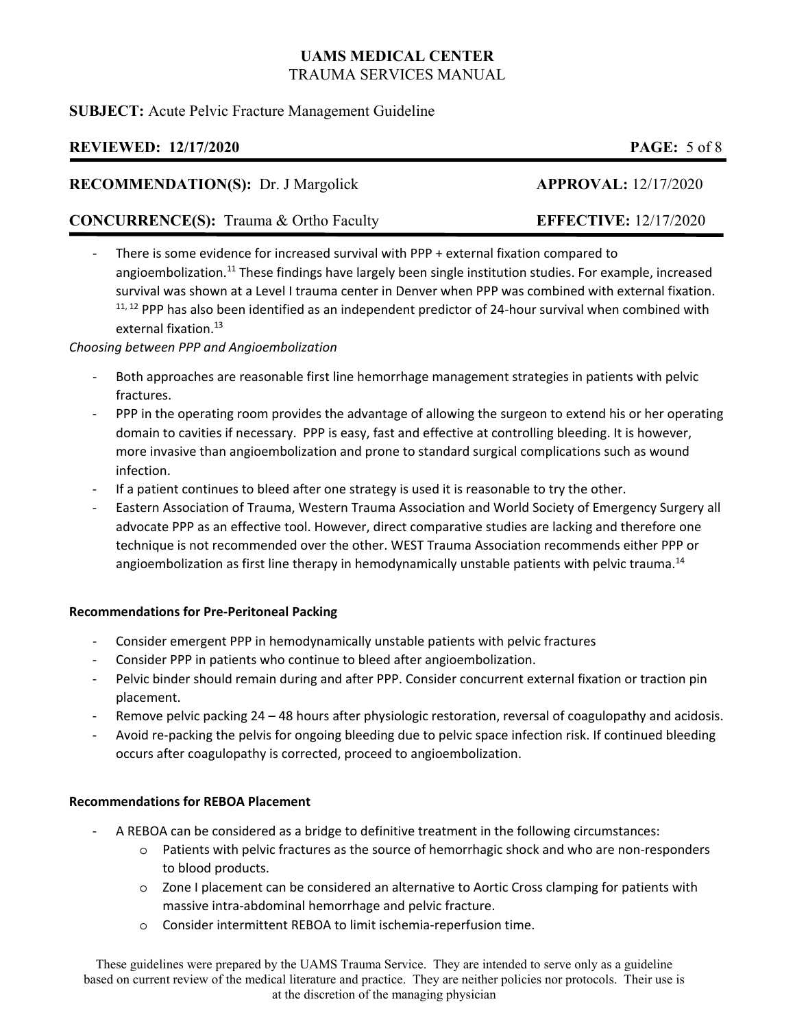## **SUBJECT:** Acute Pelvic Fracture Management Guideline

# **REVIEWED: 12/17/2020 PAGE:** 5 of 8

## **RECOMMENDATION(S):** Dr. J Margolick **APPROVAL:** 12/17/2020

# **CONCURRENCE(S):** Trauma & Ortho Faculty **EFFECTIVE:** 12/17/2020

‐ There is some evidence for increased survival with PPP + external fixation compared to angioembolization.<sup>11</sup> These findings have largely been single institution studies. For example, increased survival was shown at a Level I trauma center in Denver when PPP was combined with external fixation.  $11, 12$  PPP has also been identified as an independent predictor of 24-hour survival when combined with external fixation.<sup>13</sup>

*Choosing between PPP and Angioembolization* 

- ‐ Both approaches are reasonable first line hemorrhage management strategies in patients with pelvic fractures.
- PPP in the operating room provides the advantage of allowing the surgeon to extend his or her operating domain to cavities if necessary. PPP is easy, fast and effective at controlling bleeding. It is however, more invasive than angioembolization and prone to standard surgical complications such as wound infection.
- If a patient continues to bleed after one strategy is used it is reasonable to try the other.
- ‐ Eastern Association of Trauma, Western Trauma Association and World Society of Emergency Surgery all advocate PPP as an effective tool. However, direct comparative studies are lacking and therefore one technique is not recommended over the other. WEST Trauma Association recommends either PPP or angioembolization as first line therapy in hemodynamically unstable patients with pelvic trauma.<sup>14</sup>

## **Recommendations for Pre‐Peritoneal Packing**

- ‐ Consider emergent PPP in hemodynamically unstable patients with pelvic fractures
- ‐ Consider PPP in patients who continue to bleed after angioembolization.
- Pelvic binder should remain during and after PPP. Consider concurrent external fixation or traction pin placement.
- Remove pelvic packing 24 48 hours after physiologic restoration, reversal of coagulopathy and acidosis.
- ‐ Avoid re‐packing the pelvis for ongoing bleeding due to pelvic space infection risk. If continued bleeding occurs after coagulopathy is corrected, proceed to angioembolization.

## **Recommendations for REBOA Placement**

- ‐ A REBOA can be considered as a bridge to definitive treatment in the following circumstances:
	- o Patients with pelvic fractures as the source of hemorrhagic shock and who are non‐responders to blood products.
	- o Zone I placement can be considered an alternative to Aortic Cross clamping for patients with massive intra‐abdominal hemorrhage and pelvic fracture.
	- o Consider intermittent REBOA to limit ischemia‐reperfusion time.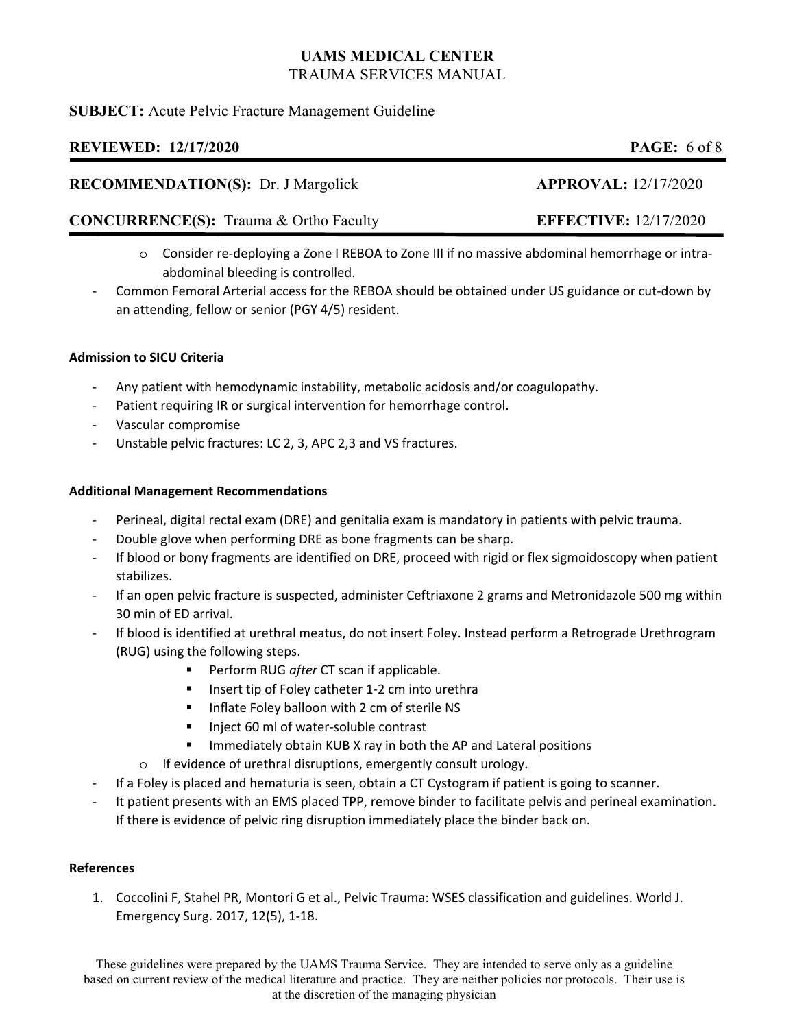## **SUBJECT:** Acute Pelvic Fracture Management Guideline

# **REVIEWED: 12/17/2020 PAGE:** 6 of 8

## **RECOMMENDATION(S):** Dr. J Margolick **APPROVAL:** 12/17/2020

## **CONCURRENCE(S):** Trauma & Ortho Faculty **EFFECTIVE:** 12/17/2020

- o Consider re‐deploying a Zone I REBOA to Zone III if no massive abdominal hemorrhage or intra‐ abdominal bleeding is controlled.
- ‐ Common Femoral Arterial access for the REBOA should be obtained under US guidance or cut‐down by an attending, fellow or senior (PGY 4/5) resident.

## **Admission to SICU Criteria**

- ‐ Any patient with hemodynamic instability, metabolic acidosis and/or coagulopathy.
- ‐ Patient requiring IR or surgical intervention for hemorrhage control.
- ‐ Vascular compromise
- Unstable pelvic fractures: LC 2, 3, APC 2,3 and VS fractures.

### **Additional Management Recommendations**

- ‐ Perineal, digital rectal exam (DRE) and genitalia exam is mandatory in patients with pelvic trauma.
- ‐ Double glove when performing DRE as bone fragments can be sharp.
- ‐ If blood or bony fragments are identified on DRE, proceed with rigid or flex sigmoidoscopy when patient stabilizes.
- ‐ If an open pelvic fracture is suspected, administer Ceftriaxone 2 grams and Metronidazole 500 mg within 30 min of ED arrival.
- ‐ If blood is identified at urethral meatus, do not insert Foley. Instead perform a Retrograde Urethrogram (RUG) using the following steps.
	- Perform RUG *after* CT scan if applicable.
	- Insert tip of Foley catheter 1‐2 cm into urethra
	- **Inflate Foley balloon with 2 cm of sterile NS**
	- Inject 60 ml of water-soluble contrast
	- Immediately obtain KUB X ray in both the AP and Lateral positions
	- o If evidence of urethral disruptions, emergently consult urology.
- ‐ If a Foley is placed and hematuria is seen, obtain a CT Cystogram if patient is going to scanner.
- It patient presents with an EMS placed TPP, remove binder to facilitate pelvis and perineal examination. If there is evidence of pelvic ring disruption immediately place the binder back on.

### **References**

1. Coccolini F, Stahel PR, Montori G et al., Pelvic Trauma: WSES classification and guidelines. World J. Emergency Surg. 2017, 12(5), 1‐18.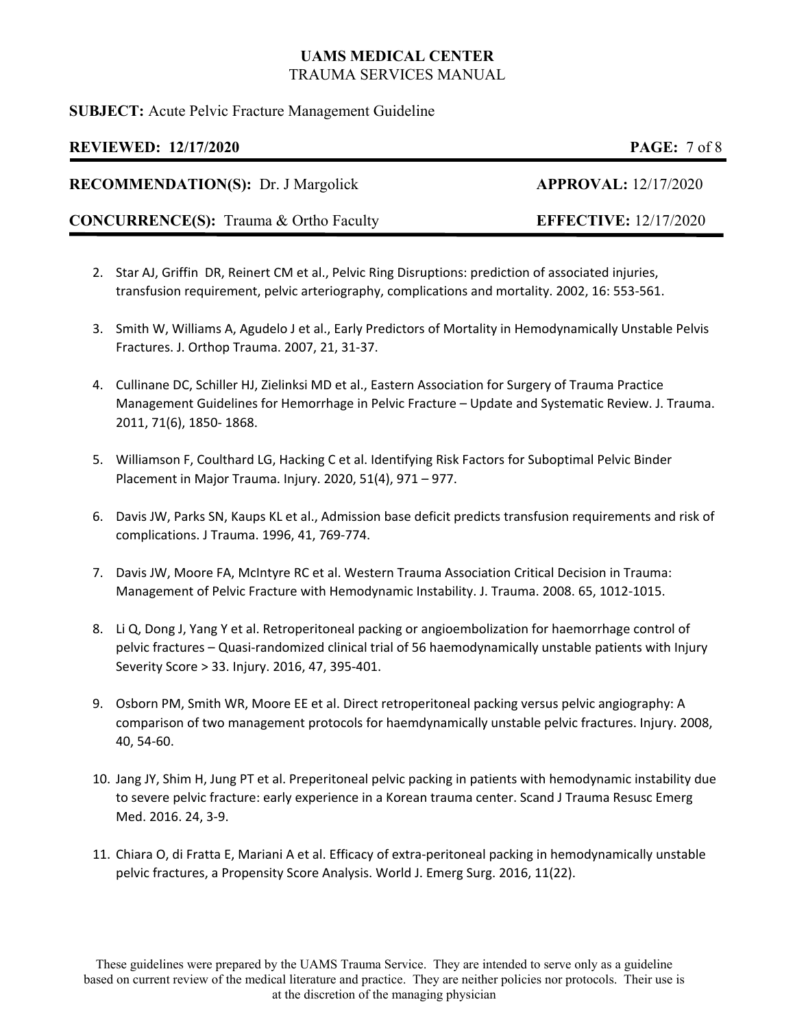## **SUBJECT:** Acute Pelvic Fracture Management Guideline

# **REVIEWED: 12/17/2020 PAGE:** 7 of 8

**RECOMMENDATION(S):** Dr. J Margolick **APPROVAL:** 12/17/2020

**CONCURRENCE(S):** Trauma & Ortho Faculty **EFFECTIVE:** 12/17/2020

- 2. Star AJ, Griffin DR, Reinert CM et al., Pelvic Ring Disruptions: prediction of associated injuries, transfusion requirement, pelvic arteriography, complications and mortality. 2002, 16: 553‐561.
- 3. Smith W, Williams A, Agudelo J et al., Early Predictors of Mortality in Hemodynamically Unstable Pelvis Fractures. J. Orthop Trauma. 2007, 21, 31‐37.
- 4. Cullinane DC, Schiller HJ, Zielinksi MD et al., Eastern Association for Surgery of Trauma Practice Management Guidelines for Hemorrhage in Pelvic Fracture – Update and Systematic Review. J. Trauma. 2011, 71(6), 1850‐ 1868.
- 5. Williamson F, Coulthard LG, Hacking C et al. Identifying Risk Factors for Suboptimal Pelvic Binder Placement in Major Trauma. Injury. 2020, 51(4), 971 – 977.
- 6. Davis JW, Parks SN, Kaups KL et al., Admission base deficit predicts transfusion requirements and risk of complications. J Trauma. 1996, 41, 769‐774.
- 7. Davis JW, Moore FA, McIntyre RC et al. Western Trauma Association Critical Decision in Trauma: Management of Pelvic Fracture with Hemodynamic Instability. J. Trauma. 2008. 65, 1012‐1015.
- 8. Li Q, Dong J, Yang Y et al. Retroperitoneal packing or angioembolization for haemorrhage control of pelvic fractures – Quasi‐randomized clinical trial of 56 haemodynamically unstable patients with Injury Severity Score > 33. Injury. 2016, 47, 395‐401.
- 9. Osborn PM, Smith WR, Moore EE et al. Direct retroperitoneal packing versus pelvic angiography: A comparison of two management protocols for haemdynamically unstable pelvic fractures. Injury. 2008, 40, 54‐60.
- 10. Jang JY, Shim H, Jung PT et al. Preperitoneal pelvic packing in patients with hemodynamic instability due to severe pelvic fracture: early experience in a Korean trauma center. Scand J Trauma Resusc Emerg Med. 2016. 24, 3‐9.
- 11. Chiara O, di Fratta E, Mariani A et al. Efficacy of extra‐peritoneal packing in hemodynamically unstable pelvic fractures, a Propensity Score Analysis. World J. Emerg Surg. 2016, 11(22).